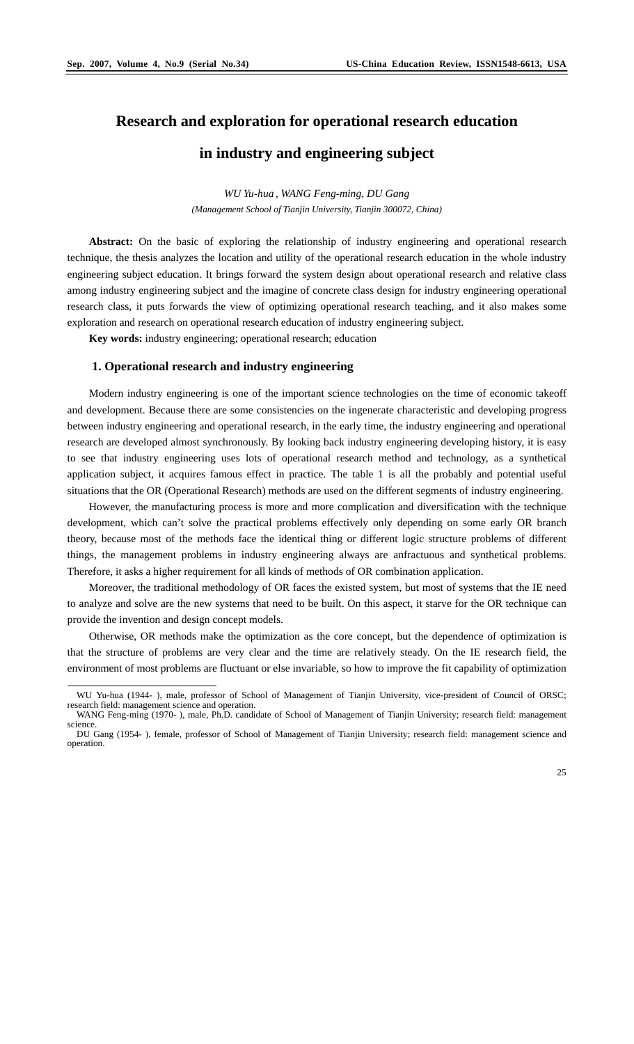$\overline{a}$ 

# **Research and exploration for operational research education**

# **in industry and engineering subject**

*WU Yu-hua , WANG Feng-ming, DU Gang (Management School of Tianjin University, Tianjin 300072, China)* 

**Abstract:** On the basic of exploring the relationship of industry engineering and operational research technique, the thesis analyzes the location and utility of the operational research education in the whole industry engineering subject education. It brings forward the system design about operational research and relative class among industry engineering subject and the imagine of concrete class design for industry engineering operational research class, it puts forwards the view of optimizing operational research teaching, and it also makes some exploration and research on operational research education of industry engineering subject.

**Key words:** industry engineering; operational research; education

# **1. Operational research and industry engineering**

Modern industry engineering is one of the important science technologies on the time of economic takeoff and development. Because there are some consistencies on the ingenerate characteristic and developing progress between industry engineering and operational research, in the early time, the industry engineering and operational research are developed almost synchronously. By looking back industry engineering developing history, it is easy to see that industry engineering uses lots of operational research method and technology, as a synthetical application subject, it acquires famous effect in practice. The table 1 is all the probably and potential useful situations that the OR (Operational Research) methods are used on the different segments of industry engineering.

However, the manufacturing process is more and more complication and diversification with the technique development, which can't solve the practical problems effectively only depending on some early OR branch theory, because most of the methods face the identical thing or different logic structure problems of different things, the management problems in industry engineering always are anfractuous and synthetical problems. Therefore, it asks a higher requirement for all kinds of methods of OR combination application.

Moreover, the traditional methodology of OR faces the existed system, but most of systems that the IE need to analyze and solve are the new systems that need to be built. On this aspect, it starve for the OR technique can provide the invention and design concept models.

Otherwise, OR methods make the optimization as the core concept, but the dependence of optimization is that the structure of problems are very clear and the time are relatively steady. On the IE research field, the environment of most problems are fluctuant or else invariable, so how to improve the fit capability of optimization

WU Yu-hua (1944- ), male, professor of School of Management of Tianjin University, vice-president of Council of ORSC; research field: management science and operation. WANG Feng-ming (1970- ), male, Ph.D. candidate of School of Management of Tianjin University; research field: management

science. DU Gang (1954- ), female, professor of School of Management of Tianjin University; research field: management science and operation.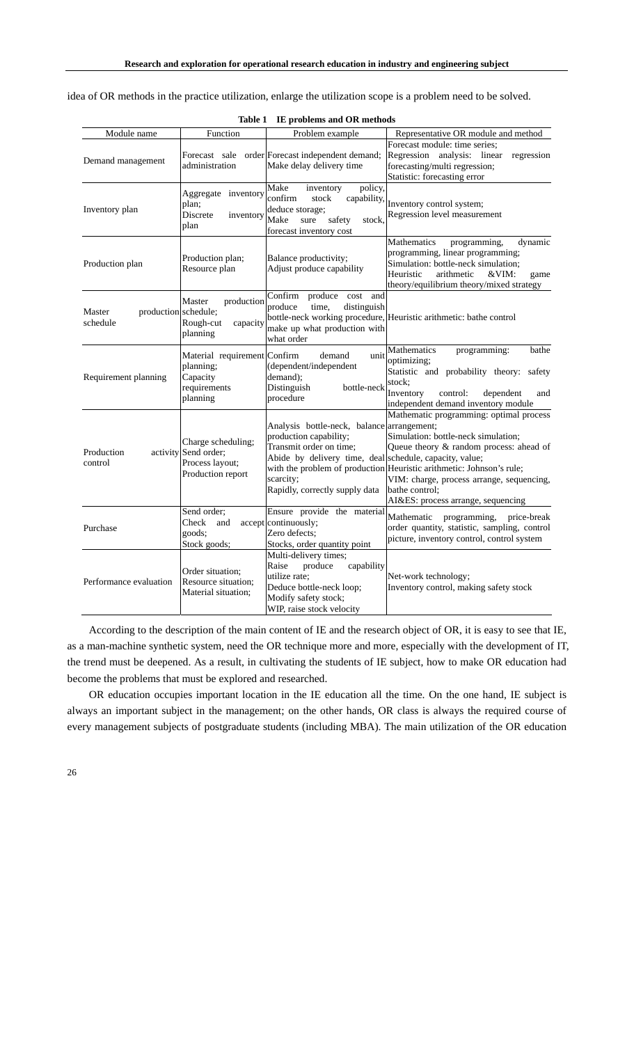idea of OR methods in the practice utilization, enlarge the utilization scope is a problem need to be solved.

| Module name                                | Function                                                                           | Problem example                                                                                                                                                                                           | Representative OR module and method                                                                                                                                                                                                                                                                    |
|--------------------------------------------|------------------------------------------------------------------------------------|-----------------------------------------------------------------------------------------------------------------------------------------------------------------------------------------------------------|--------------------------------------------------------------------------------------------------------------------------------------------------------------------------------------------------------------------------------------------------------------------------------------------------------|
| Demand management                          | administration                                                                     | Forecast sale order Forecast independent demand;<br>Make delay delivery time                                                                                                                              | Forecast module: time series;<br>Regression analysis: linear<br>regression<br>forecasting/multi regression;<br>Statistic: forecasting error                                                                                                                                                            |
| Inventory plan                             | Aggregate inventory<br>plan:<br>Discrete<br>inventory<br>plan                      | policy,<br>Make<br>inventory<br>confirm<br>capability,<br>stock<br>deduce storage;<br>Make<br>safety<br>sure<br>stock.<br>forecast inventory cost                                                         | Inventory control system;<br>Regression level measurement                                                                                                                                                                                                                                              |
| Production plan                            | Production plan;<br>Resource plan                                                  | Balance productivity;<br>Adjust produce capability                                                                                                                                                        | Mathematics<br>dynamic<br>programming,<br>programming, linear programming;<br>Simulation: bottle-neck simulation;<br>Heuristic<br>arithmetic<br>&VIM:<br>game<br>theory/equilibrium theory/mixed strategy                                                                                              |
| production schedule;<br>Master<br>schedule | Master<br>production<br>Rough-cut<br>capacity<br>planning                          | Confirm produce cost and<br>time,<br>distinguish<br>produce<br>make up what production with<br>what order                                                                                                 | bottle-neck working procedure, Heuristic arithmetic: bathe control                                                                                                                                                                                                                                     |
| Requirement planning                       | Material requirement Confirm<br>planning;<br>Capacity<br>requirements<br>planning  | demand<br>unit<br>(dependent/independent<br>demand);<br>Distinguish<br>bottle-neck<br>procedure                                                                                                           | Mathematics<br>programming:<br>bathe<br>optimizing;<br>Statistic and probability theory: safety<br>stock;<br>Inventory<br>control:<br>dependent<br>and<br>independent demand inventory module                                                                                                          |
| Production<br>control                      | Charge scheduling;<br>activity Send order;<br>Process layout;<br>Production report | Analysis bottle-neck, balance arrangement;<br>production capability;<br>Transmit order on time;<br>Abide by delivery time, deal schedule, capacity, value;<br>scarcity;<br>Rapidly, correctly supply data | Mathematic programming: optimal process<br>Simulation: bottle-neck simulation;<br>Queue theory & random process: ahead of<br>with the problem of production Heuristic arithmetic: Johnson's rule;<br>VIM: charge, process arrange, sequencing,<br>bathe control:<br>AI&ES: process arrange, sequencing |
| Purchase                                   | Send order;<br>Check<br>and<br>goods;<br>Stock goods;                              | Ensure provide the material<br>accept continuously;<br>Zero defects:<br>Stocks, order quantity point                                                                                                      | Mathematic<br>programming, price-break<br>order quantity, statistic, sampling, control<br>picture, inventory control, control system                                                                                                                                                                   |
| Performance evaluation                     | Order situation;<br>Resource situation;<br>Material situation;                     | Multi-delivery times;<br>produce<br>capability<br>Raise<br>utilize rate;<br>Deduce bottle-neck loop;<br>Modify safety stock;<br>WIP, raise stock velocity                                                 | Net-work technology;<br>Inventory control, making safety stock                                                                                                                                                                                                                                         |

**Table 1 IE problems and OR methods**

According to the description of the main content of IE and the research object of OR, it is easy to see that IE, as a man-machine synthetic system, need the OR technique more and more, especially with the development of IT, the trend must be deepened. As a result, in cultivating the students of IE subject, how to make OR education had become the problems that must be explored and researched.

OR education occupies important location in the IE education all the time. On the one hand, IE subject is always an important subject in the management; on the other hands, OR class is always the required course of every management subjects of postgraduate students (including MBA). The main utilization of the OR education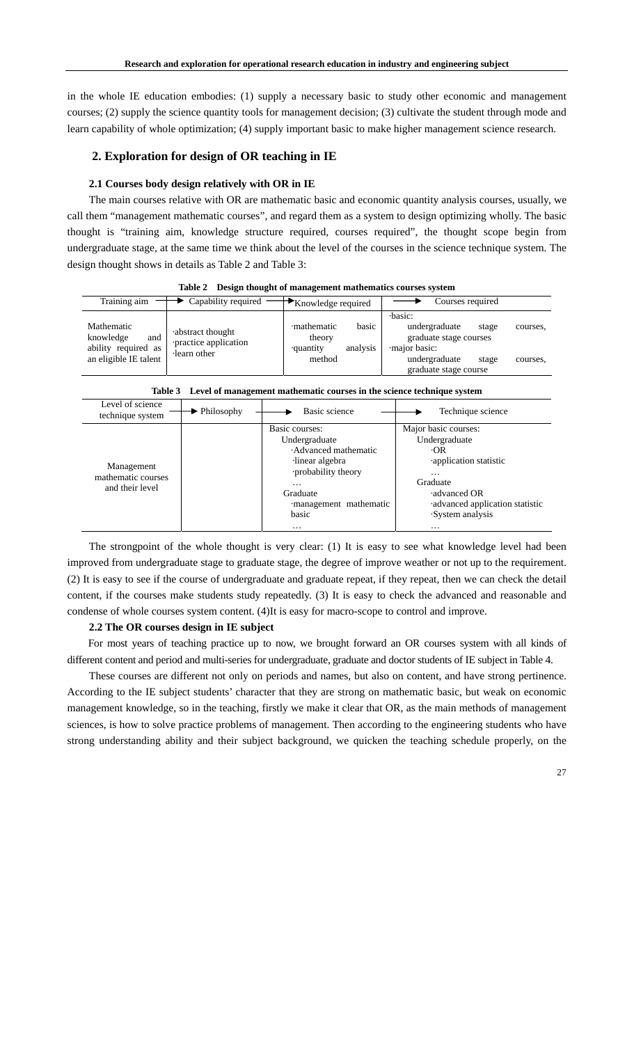in the whole IE education embodies: (1) supply a necessary basic to study other economic and management courses; (2) supply the science quantity tools for management decision; (3) cultivate the student through mode and learn capability of whole optimization; (4) supply important basic to make higher management science research.

# **2. Exploration for design of OR teaching in IE**

### **2.1 Courses body design relatively with OR in IE**

The main courses relative with OR are mathematic basic and economic quantity analysis courses, usually, we call them "management mathematic courses", and regard them as a system to design optimizing wholly. The basic thought is "training aim, knowledge structure required, courses required", the thought scope begin from undergraduate stage, at the same time we think about the level of the courses in the science technique system. The design thought shows in details as Table 2 and Table 3:

| тате 2<br>Design mought of management mathematics courses system |                                          |                                        |                                                                             |  |  |
|------------------------------------------------------------------|------------------------------------------|----------------------------------------|-----------------------------------------------------------------------------|--|--|
| Training aim                                                     | Capability required                      | $\rightarrow$ Knowledge required       | Courses required                                                            |  |  |
| Mathematic<br>knowledge<br>and                                   | abstract thought<br>practice application | basic<br>mathematic<br>theory          | ·basic:<br>undergraduate<br>stage<br>courses.<br>graduate stage courses     |  |  |
| ability required as<br>an eligible IE talent                     | learn other                              | analysis<br><i>equantity</i><br>method | major basic:<br>undergraduate<br>stage<br>courses.<br>graduate stage course |  |  |

**Table 2 Design thought of management mathematics courses system** 

|  | Table 3 Level of management mathematic courses in the science technique system |
|--|--------------------------------------------------------------------------------|
|--|--------------------------------------------------------------------------------|

| Level of science<br>technique system                | $\blacktriangleright$ Philosophy | Basic science                                                                                                                                                                 | Technique science                                                                                                                                                              |
|-----------------------------------------------------|----------------------------------|-------------------------------------------------------------------------------------------------------------------------------------------------------------------------------|--------------------------------------------------------------------------------------------------------------------------------------------------------------------------------|
| Management<br>mathematic courses<br>and their level |                                  | Basic courses:<br>Undergraduate<br>Advanced mathematic<br>linear algebra<br>probability theory<br>$\cdot\cdot\cdot$<br>Graduate<br>management mathematic<br>basic<br>$\cdots$ | Major basic courses:<br>Undergraduate<br>-OR<br>application statistic<br>$\cdots$<br>Graduate<br>advanced OR<br>·advanced application statistic<br>System analysis<br>$\cdots$ |

The strongpoint of the whole thought is very clear: (1) It is easy to see what knowledge level had been improved from undergraduate stage to graduate stage, the degree of improve weather or not up to the requirement. (2) It is easy to see if the course of undergraduate and graduate repeat, if they repeat, then we can check the detail content, if the courses make students study repeatedly. (3) It is easy to check the advanced and reasonable and condense of whole courses system content. (4)It is easy for macro-scope to control and improve.

# **2.2 The OR courses design in IE subject**

For most years of teaching practice up to now, we brought forward an OR courses system with all kinds of different content and period and multi-series for undergraduate, graduate and doctor students of IE subject in Table 4.

These courses are different not only on periods and names, but also on content, and have strong pertinence. According to the IE subject students' character that they are strong on mathematic basic, but weak on economic management knowledge, so in the teaching, firstly we make it clear that OR, as the main methods of management sciences, is how to solve practice problems of management. Then according to the engineering students who have strong understanding ability and their subject background, we quicken the teaching schedule properly, on the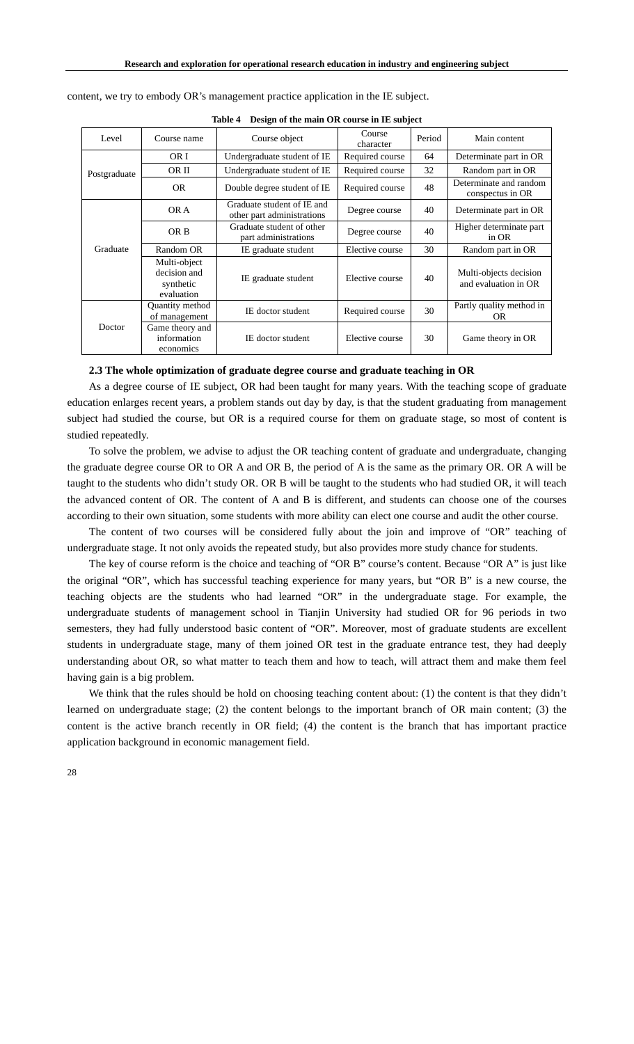| Level        | Course name                                             | Course object                                            | Course<br>character | Period | Main content                                   |  |
|--------------|---------------------------------------------------------|----------------------------------------------------------|---------------------|--------|------------------------------------------------|--|
| Postgraduate | OR I                                                    | Undergraduate student of IE                              | Required course     | 64     | Determinate part in OR                         |  |
|              | OR II                                                   | Undergraduate student of IE                              | Required course     | 32     | Random part in OR                              |  |
|              | <b>OR</b>                                               | Double degree student of IE                              | Required course     | 48     | Determinate and random<br>conspectus in OR     |  |
| Graduate     | OR A                                                    | Graduate student of IE and<br>other part administrations | Degree course       | 40     | Determinate part in OR                         |  |
|              | OR B                                                    | Graduate student of other<br>part administrations        | Degree course       | 40     | Higher determinate part<br>in OR               |  |
|              | Random OR                                               | IE graduate student                                      | Elective course     | 30     | Random part in OR                              |  |
|              | Multi-object<br>decision and<br>synthetic<br>evaluation | IE graduate student                                      | Elective course     | 40     | Multi-objects decision<br>and evaluation in OR |  |
| Doctor       | Quantity method<br>of management                        | IE doctor student                                        | Required course     | 30     | Partly quality method in<br>OR.                |  |
|              | Game theory and<br>information<br>economics             | IE doctor student                                        | Elective course     | 30     | Game theory in OR                              |  |

content, we try to embody OR's management practice application in the IE subject.

#### **Table 4 Design of the main OR course in IE subject**

#### **2.3 The whole optimization of graduate degree course and graduate teaching in OR**

As a degree course of IE subject, OR had been taught for many years. With the teaching scope of graduate education enlarges recent years, a problem stands out day by day, is that the student graduating from management subject had studied the course, but OR is a required course for them on graduate stage, so most of content is studied repeatedly.

To solve the problem, we advise to adjust the OR teaching content of graduate and undergraduate, changing the graduate degree course OR to OR A and OR B, the period of A is the same as the primary OR. OR A will be taught to the students who didn't study OR. OR B will be taught to the students who had studied OR, it will teach the advanced content of OR. The content of A and B is different, and students can choose one of the courses according to their own situation, some students with more ability can elect one course and audit the other course.

The content of two courses will be considered fully about the join and improve of "OR" teaching of undergraduate stage. It not only avoids the repeated study, but also provides more study chance for students.

The key of course reform is the choice and teaching of "OR B" course's content. Because "OR A" is just like the original "OR", which has successful teaching experience for many years, but "OR B" is a new course, the teaching objects are the students who had learned "OR" in the undergraduate stage. For example, the undergraduate students of management school in Tianjin University had studied OR for 96 periods in two semesters, they had fully understood basic content of "OR". Moreover, most of graduate students are excellent students in undergraduate stage, many of them joined OR test in the graduate entrance test, they had deeply understanding about OR, so what matter to teach them and how to teach, will attract them and make them feel having gain is a big problem.

We think that the rules should be hold on choosing teaching content about: (1) the content is that they didn't learned on undergraduate stage; (2) the content belongs to the important branch of OR main content; (3) the content is the active branch recently in OR field; (4) the content is the branch that has important practice application background in economic management field.